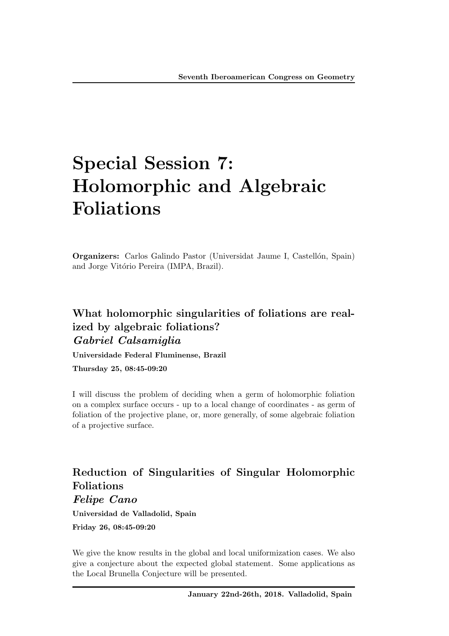# Special Session 7: Holomorphic and Algebraic Foliations

**Organizers:** Carlos Galindo Pastor (Universidat Jaume I, Castellón, Spain) and Jorge Vitório Pereira (IMPA, Brazil).

# What holomorphic singularities of foliations are realized by algebraic foliations? *Gabriel Calsamiglia*

Universidade Federal Fluminense, Brazil

Thursday 25, 08:45-09:20

I will discuss the problem of deciding when a germ of holomorphic foliation on a complex surface occurs - up to a local change of coordinates - as germ of foliation of the projective plane, or, more generally, of some algebraic foliation of a projective surface.

# Reduction of Singularities of Singular Holomorphic Foliations

*Felipe Cano*

Universidad de Valladolid, Spain

Friday 26, 08:45-09:20

We give the know results in the global and local uniformization cases. We also give a conjecture about the expected global statement. Some applications as the Local Brunella Conjecture will be presented.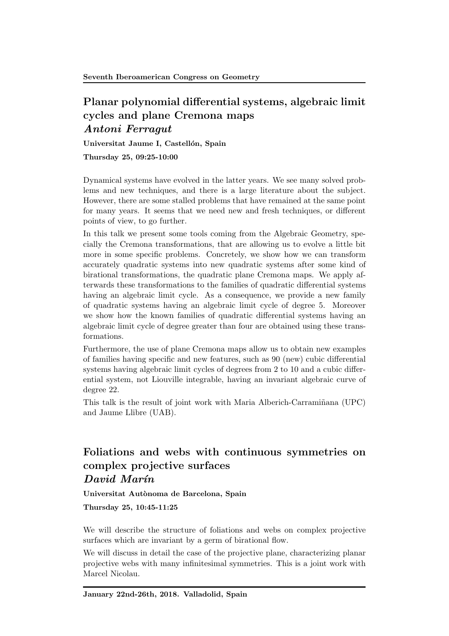## Planar polynomial differential systems, algebraic limit cycles and plane Cremona maps *Antoni Ferragut*

Universitat Jaume I, Castellón, Spain

Thursday 25, 09:25-10:00

Dynamical systems have evolved in the latter years. We see many solved problems and new techniques, and there is a large literature about the subject. However, there are some stalled problems that have remained at the same point for many years. It seems that we need new and fresh techniques, or different points of view, to go further.

In this talk we present some tools coming from the Algebraic Geometry, specially the Cremona transformations, that are allowing us to evolve a little bit more in some specific problems. Concretely, we show how we can transform accurately quadratic systems into new quadratic systems after some kind of birational transformations, the quadratic plane Cremona maps. We apply afterwards these transformations to the families of quadratic differential systems having an algebraic limit cycle. As a consequence, we provide a new family of quadratic systems having an algebraic limit cycle of degree 5. Moreover we show how the known families of quadratic differential systems having an algebraic limit cycle of degree greater than four are obtained using these transformations.

Furthermore, the use of plane Cremona maps allow us to obtain new examples of families having specific and new features, such as  $90$  (new) cubic differential systems having algebraic limit cycles of degrees from  $2$  to  $10$  and a cubic differential system, not Liouville integrable, having an invariant algebraic curve of degree 22.

This talk is the result of joint work with Maria Alberich-Carraminana (UPC) and Jaume Llibre (UAB).

### Foliations and webs with continuous symmetries on complex projective surfaces *David Mar´ın*

Universitat Autònoma de Barcelona, Spain

Thursday 25, 10:45-11:25

We will describe the structure of foliations and webs on complex projective surfaces which are invariant by a germ of birational flow.

We will discuss in detail the case of the projective plane, characterizing planar projective webs with many infinitesimal symmetries. This is a joint work with Marcel Nicolau.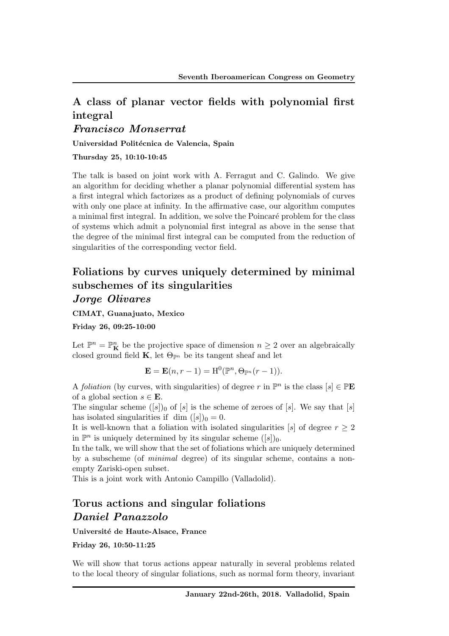# A class of planar vector fields with polynomial first integral

#### *Francisco Monserrat*

Universidad Politécnica de Valencia, Spain

Thursday 25, 10:10-10:45

The talk is based on joint work with A. Ferragut and C. Galindo. We give an algorithm for deciding whether a planar polynomial differential system has a first integral which factorizes as a product of defining polynomials of curves with only one place at infinity. In the affirmative case, our algorithm computes a minimal first integral. In addition, we solve the Poincaré problem for the class of systems which admit a polynomial first integral as above in the sense that the degree of the minimal first integral can be computed from the reduction of singularities of the corresponding vector field.

# Foliations by curves uniquely determined by minimal subschemes of its singularities

#### *Jorge Olivares*

CIMAT, Guanajuato, Mexico

Friday 26, 09:25-10:00

Let  $\mathbb{P}^n = \mathbb{P}^n_{\mathbf{K}}$  be the projective space of dimension  $n \geq 2$  over an algebraically closed ground field  $\mathbf{K}$ , let  $\Theta_{\mathbb{P}^n}$  be its tangent sheaf and let

$$
\mathbf{E} = \mathbf{E}(n, r-1) = \mathrm{H}^0(\mathbb{P}^n, \Theta_{\mathbb{P}^n}(r-1)).
$$

A *foliation* (by curves, with singularities) of degree *r* in  $\mathbb{P}^n$  is the class  $[s] \in \mathbb{P}$ **E** of a global section  $s \in \mathbf{E}$ .

The singular scheme  $([s])_0$  of  $[s]$  is the scheme of zeroes of  $[s]$ . We say that  $[s]$ has isolated singularities if dim  $([s])_0 = 0$ .

It is well-known that a foliation with isolated singularities [s] of degree  $r \geq 2$ in  $\mathbb{P}^n$  is uniquely determined by its singular scheme  $([s])_0$ .

In the talk, we will show that the set of foliations which are uniquely determined by a subscheme (of *minimal* degree) of its singular scheme, contains a nonempty Zariski-open subset.

This is a joint work with Antonio Campillo (Valladolid).

# Torus actions and singular foliations *Daniel Panazzolo*

Université de Haute-Alsace, France

Friday 26, 10:50-11:25

We will show that torus actions appear naturally in several problems related to the local theory of singular foliations, such as normal form theory, invariant